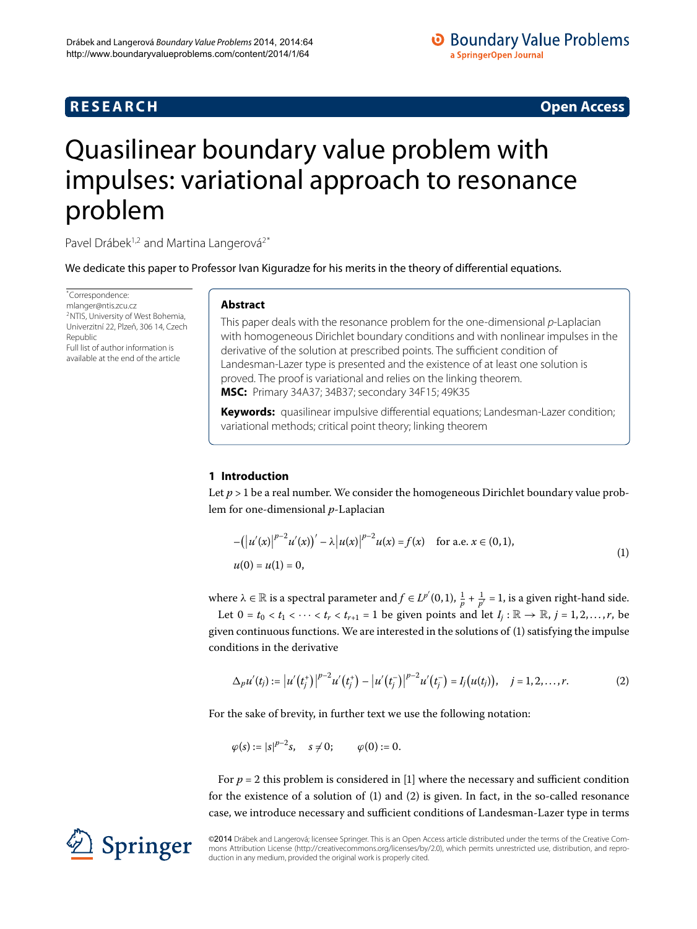# **R E S E A R C H Open Access**

# <span id="page-0-0"></span>Quasilinear boundary value problem with impulses: variational approach to resonance problem

Pavel Drábek<sup>1,[2](#page-12-1)</sup> and Martina Langerová<sup>2[\\*](#page-0-0)</sup>

We dedicate this paper to Professor Ivan Kiguradze for his merits in the theory of differential equations.

<span id="page-0-3"></span>\* Correspondence: [mlanger@ntis.zcu.cz](mailto:mlanger@ntis.zcu.cz) 2NTIS, University of West Bohemia, Univerzitní 22, Plzeň, 306 14, Czech Republic Full list of author information is available at the end of the article

# **Abstract**

This paper deals with the resonance problem for the one-dimensional  $p$ -Laplacian with homogeneous Dirichlet boundary conditions and with nonlinear impulses in the derivative of the solution at prescribed points. The sufficient condition of Landesman-Lazer type is presented and the existence of at least one solution is proved. The proof is variational and relies on the linking theorem. **MSC:** Primary 34A37; 34B37; secondary 34F15; 49K35

**Keywords:** quasilinear impulsive differential equations; Landesman-Lazer condition; variational methods; critical point theory; linking theorem

# **1 Introduction**

Let  $p > 1$  be a real number. We consider the homogeneous Dirichlet boundary value problem for one-dimensional *p*-Laplacian

<span id="page-0-2"></span><span id="page-0-1"></span>
$$
-(|u'(x)|^{p-2}u'(x))' - \lambda |u(x)|^{p-2}u(x) = f(x) \quad \text{for a.e. } x \in (0,1),
$$
  
 
$$
u(0) = u(1) = 0,
$$
 (1)

where  $\lambda \in \mathbb{R}$  is a spectral parameter and  $f \in L^{p'}(0,1), \frac{1}{p} + \frac{1}{p'} = 1$ , is a given right-hand side.

Let  $0 = t_0 < t_1 < \cdots < t_r < t_{r+1} = 1$  be given points and let  $I_i : \mathbb{R} \to \mathbb{R}, j = 1, 2, ..., r$ , be given continuous functions. We are interested in the solutions of  $(1)$  $(1)$  satisfying the impulse conditions in the derivative

$$
\Delta_p u'(t_j) := |u'(t_j^+)|^{p-2} u'(t_j^+) - |u'(t_j^-)|^{p-2} u'(t_j^-) = I_j(u(t_j)), \quad j = 1, 2, ..., r.
$$
 (2)

For the sake of brevity, in further text we use the following notation:

$$
\varphi(s) := |s|^{p-2} s, \quad s \neq 0; \qquad \varphi(0) := 0.
$$

For  $p = 2$  this problem is considered in [1] where the necessary and sufficient condition for the existence of a solution of  $(1)$  $(1)$  and  $(2)$  is given. In fact, in the so-called resonance case, we introduce necessary and sufficient conditions of Landesman-Lazer type in terms



©2014 Drábek and Langerová; licensee Springer. This is an Open Access article distributed under the terms of the Creative Commons Attribution License (<http://creativecommons.org/licenses/by/2.0>), which permits unrestricted use, distribution, and reproduction in any medium, provided the original work is properly cited.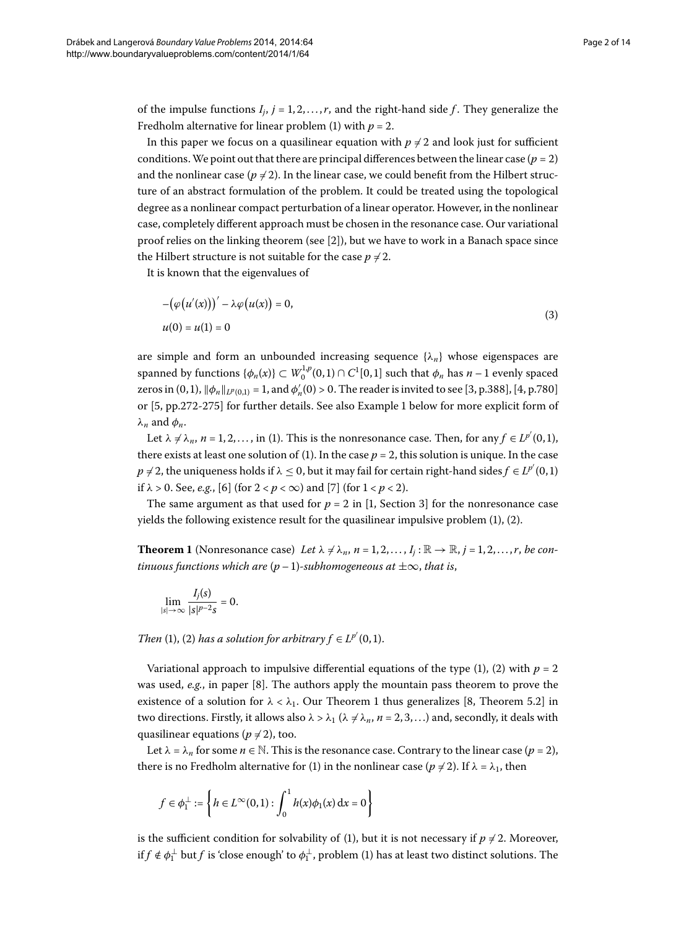of the impulse functions  $I_i$ ,  $j = 1, 2, ..., r$ , and the right-hand side f. They generalize the Fredholm alternative for linear problem (1) with  $p = 2$ .

In this paper we focus on a quasilinear equation with  $p \neq 2$  and look just for sufficient conditions. We point out that there are principal differences between the linear case  $(p = 2)$ and the nonlinear case ( $p \neq 2$ ). In the linear case, we could benefit from the Hilbert structure of an abstract formulation of the problem. It could be treated using the topological degree as a nonlinear compact perturbation of a linear operator. However, in the nonlinear case, completely different approach must be chosen in the resonance case. Our variational proof relies on the linking theorem (see  $[2]$  $[2]$ ), but we have to work in a Banach space since the Hilbert structure is not suitable for the case  $p \neq 2$ .

It is known that the eigenvalues of

<span id="page-1-1"></span>
$$
-(\varphi(u'(x)))' - \lambda \varphi(u(x)) = 0,
$$
  
 
$$
u(0) = u(1) = 0
$$
 (3)

are simple and form an unbounded increasing sequence  $\{\lambda_n\}$  whose eigenspaces are spanned by functions  $\{\phi_n(x)\}\subset W_0^{1,p}(0,1)\cap C^1[0,1]$  such that  $\phi_n$  has  $n-1$  evenly spaced zeros in  $(0, 1)$ ,  $\|\phi_n\|_{L^p(0,1)} = 1$ , and  $\phi'_n(0) > 0$ . The reader is invited to see [\[](#page-13-3)3, p.388], [4, p.780] or [5, pp.272-275] for further details. See also Example 1 below for more explicit form of *λ<sup>n</sup>* and *φn*.

<span id="page-1-0"></span>Let  $\lambda \neq \lambda_n$ ,  $n = 1, 2, ...,$  in (1[\)](#page-0-1). This is the nonresonance case. Then, for any  $f \in L^{p'}(0,1)$ , there exists at least one solution of [\(](#page-0-1)1). In the case  $p = 2$ , this solution is unique. In the case  $p \neq 2$ , the uniqueness holds if  $\lambda \leq 0$ , but it may fail for certain right-hand sides  $f \in L^{p'}(0,1)$ if  $\lambda > 0$ . See, *e.g.*, [6[\]](#page-13-6) (for  $2 < p < \infty$ ) and [7] (for  $1 < p < 2$ ).

The same argument as that used for  $p = 2$  in [1, Section 3] for the nonresonance case yields the following existence result for the quasilinear impulsive problem  $(1)$  $(1)$ ,  $(2)$ .

**Theorem 1** (Nonresonance case) Let  $\lambda \neq \lambda_n$ ,  $n = 1, 2, ..., I_i : \mathbb{R} \to \mathbb{R}$ ,  $j = 1, 2, ..., r$ , be con*tinuous functions which are*  $(p-1)$ -subhomogeneous at  $\pm \infty$ , that is,

$$
\lim_{|s|\to\infty}\frac{I_j(s)}{|s|^{p-2}s}=0.
$$

*Then* [\(](#page-0-2)1), (2) *has a solution for arbitrary*  $f \in L^{p'}(0,1)$ *.* 

Variational approach to impulsive differential equations of the type [\(](#page-0-1)1[\)](#page-0-2), (2) with  $p = 2$ was used, *e.g.*, in paper [8[\]](#page-13-7). The authors apply the mountain pass theorem to prove the existence of a solution for  $\lambda < \lambda_1$ . Our Theorem 1 thus generalizes [\[](#page-13-7)8, Theorem 5.2] in two directions. Firstly, it allows also  $\lambda > \lambda_1$  ( $\lambda \neq \lambda_n$ , *n* = 2, 3, ...) and, secondly, it deals with quasilinear equations ( $p \neq 2$ ), too.

Let  $\lambda = \lambda_n$  for some  $n \in \mathbb{N}$ . This is the resonance case. Contrary to the linear case ( $p = 2$ ), there is no Fredholm alternative for [\(](#page-0-1)1) in the nonlinear case ( $p \neq 2$ ). If  $\lambda = \lambda_1$ , then

$$
f \in \phi_1^{\perp} := \left\{ h \in L^{\infty}(0,1) : \int_0^1 h(x)\phi_1(x) \, \mathrm{d}x = 0 \right\}
$$

is the sufficient condition for solvability of (1), but it is not necessary if  $p \neq 2$ . Moreover, if  $f \notin \phi_1^{\perp}$  but  $f$  is 'close enough' to  $\phi_1^{\perp}$ , problem (1) has at least two distinct solutions. The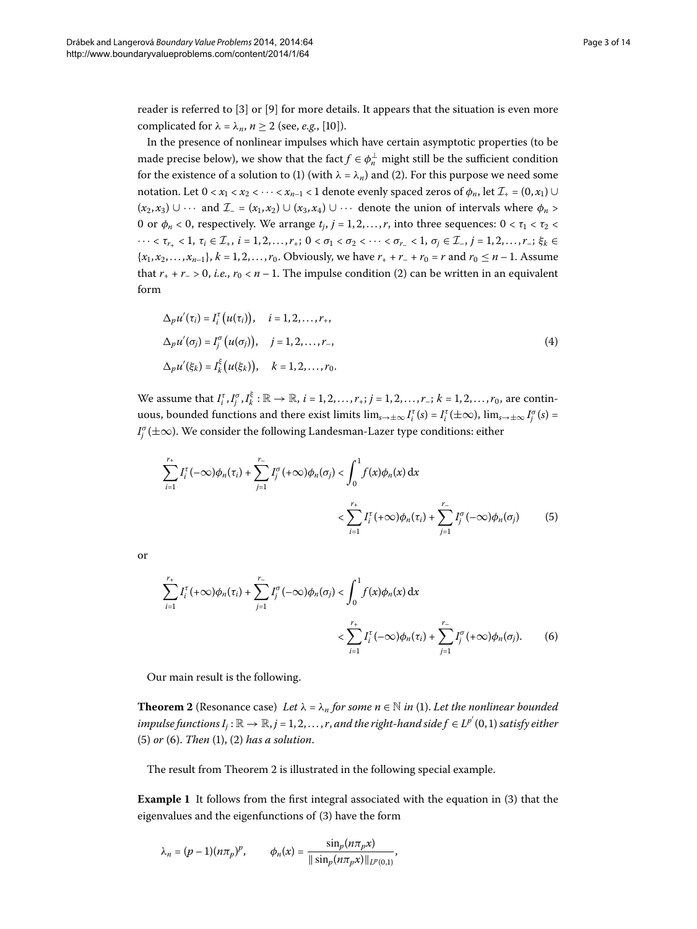reader is referred to  $[3]$  $[3]$  $[3]$  or  $[9]$  for more details. It appears that the situation is even more complicated for  $\lambda = \lambda_n$ ,  $n \ge 2$  (see, *e.g.*, [10[\]](#page-13-9)).

In the presence of nonlinear impulses which have certain asymptotic properties (to be made precise below), we show that the fact  $f \in \phi_n^{\perp}$  might still be the sufficient condition for the existence of a solution to (1[\)](#page-0-2) (with  $\lambda = \lambda_n$ ) and (2). For this purpose we need some notation. Let  $0 < x_1 < x_2 < \cdots < x_{n-1} < 1$  denote evenly spaced zeros of  $\phi_n$ , let  $\mathcal{I}_+ = (0, x_1) \cup$  $(x_2, x_3) \cup \cdots$  and  $\mathcal{I} = (x_1, x_2) \cup (x_3, x_4) \cup \cdots$  denote the union of intervals where  $\phi_n >$ 0 or  $\phi_n < 0$ , respectively. We arrange  $t_i$ ,  $j = 1, 2, ..., r$ , into three sequences:  $0 < \tau_1 < \tau_2 <$  $\cdots < \tau_{r_+} < 1, \tau_i \in \mathcal{I}_+, i = 1, 2, \ldots, r_+; 0 < \sigma_1 < \sigma_2 < \cdots < \sigma_{r_-} < 1, \sigma_i \in \mathcal{I}_-, j = 1, 2, \ldots, r_-, \xi_k \in$  ${x_1, x_2, ..., x_{n-1}}$ ,  $k = 1, 2, ..., r_0$ . Obviously, we have  $r_+ + r_- + r_0 = r$  and  $r_0 \le n - 1$ . Assume that  $r_+ + r_- > 0$ , *i.e.*,  $r_0 < n - 1$ . The impulse condition (2[\)](#page-0-2) can be written in an equivalent form

$$
\Delta_p u'(\tau_i) = I_i^{\tau} (u(\tau_i)), \quad i = 1, 2, \dots, r_+,
$$
  
\n
$$
\Delta_p u'(\sigma_j) = I_j^{\sigma} (u(\sigma_j)), \quad j = 1, 2, \dots, r_-,
$$
  
\n
$$
\Delta_p u'(\xi_k) = I_k^{\xi} (u(\xi_k)), \quad k = 1, 2, \dots, r_0.
$$
\n(4)

We assume that  $I_i^{\tau}, I_j^{\sigma}, I_k^{\xi} : \mathbb{R} \to \mathbb{R}$ ,  $i = 1, 2, \ldots, r_+; j = 1, 2, \ldots, r_-; k = 1, 2, \ldots, r_0$ , are continuous, bounded functions and there exist limits  $\lim_{s\to\pm\infty} I_i^{\tau}(s) = I_i^{\tau}(\pm\infty)$ ,  $\lim_{s\to\pm\infty} I_j^{\sigma}(s) = I_j^{\tau}(s)$  $I_j^{\sigma}(\pm\infty)$ . We consider the following Landesman-Lazer type conditions: either

<span id="page-2-1"></span>
$$
\sum_{i=1}^{r_{+}} I_{i}^{\tau}(-\infty)\phi_{n}(\tau_{i}) + \sum_{j=1}^{r_{-}} I_{j}^{\sigma}(+\infty)\phi_{n}(\sigma_{j}) < \int_{0}^{1} f(x)\phi_{n}(x) dx
$$
  

$$
< \sum_{i=1}^{r_{+}} I_{i}^{\tau}(+\infty)\phi_{n}(\tau_{i}) + \sum_{j=1}^{r_{-}} I_{j}^{\sigma}(-\infty)\phi_{n}(\sigma_{j})
$$
(5)

or

<span id="page-2-3"></span><span id="page-2-2"></span>
$$
\sum_{i=1}^{r_{+}} I_{i}^{\tau}(+\infty)\phi_{n}(\tau_{i}) + \sum_{j=1}^{r_{-}} I_{j}^{\sigma}(-\infty)\phi_{n}(\sigma_{j}) < \int_{0}^{1} f(x)\phi_{n}(x) dx
$$

$$
< \sum_{i=1}^{r_{+}} I_{i}^{\tau}(-\infty)\phi_{n}(\tau_{i}) + \sum_{j=1}^{r_{-}} I_{j}^{\sigma}(+\infty)\phi_{n}(\sigma_{j}). \tag{6}
$$

Our main result is the following.

<span id="page-2-0"></span>**Theorem 2** (Resonance case[\)](#page-0-1) Let  $\lambda = \lambda_n$  for some  $n \in \mathbb{N}$  in (1). Let the nonlinear bounded impulse functions  $I_j: \mathbb{R} \to \mathbb{R}$ ,  $j = 1, 2, \ldots, r$ , and the right-hand side  $f \in L^{p'}(0,1)$  satisfy either  $(5)$  $(5)$  or  $(6)$ . *Then*  $(1)$ ,  $(2)$  *has a solution*.

The result from Theorem 2 is illustrated in the following special example.

**Example 1** It follows from the first integral associated with the equation in [\(](#page-1-1)3) that the eigenvalues and the eigenfunctions of (3[\)](#page-1-1) have the form

$$
\lambda_n = (p-1)(n\pi_p)^p
$$
,  $\phi_n(x) = \frac{\sin_p(n\pi_p x)}{\|\sin_p(n\pi_p x)\|_{L^p(0,1)}}$ ,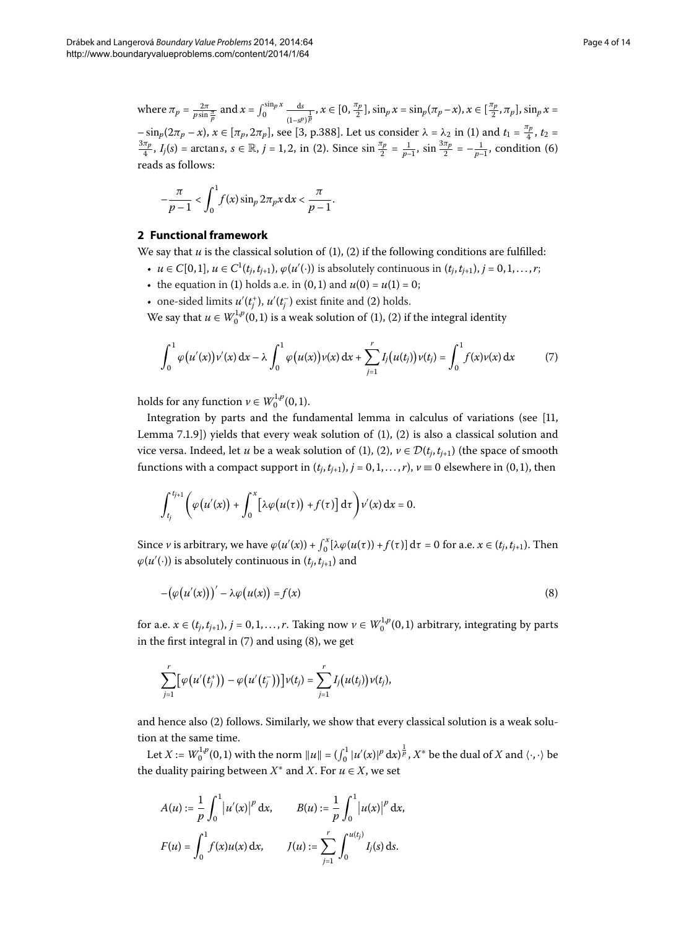where  $\pi_p = \frac{2\pi}{p \sin \frac{\pi}{p}}$  and  $x = \int_0^{\sin p} x \frac{ds}{(1 - s^p)}$  $\frac{ds}{(1-s^p)^{\frac{p}{p}}}$ ,  $x \in [0, \frac{\pi_p}{2}], \sin_p x = \sin_p (\pi_p - x), x \in [\frac{\pi_p}{2}, \pi_p], \sin_p x =$  $-\sin_p(2\pi_p - x)$ ,  $x \in [\pi_p, 2\pi_p]$  $x \in [\pi_p, 2\pi_p]$  $x \in [\pi_p, 2\pi_p]$ , see [3, p.388]. Let us consider  $\lambda = \lambda_2$  in (1) and  $t_1 = \frac{\pi_p}{4}$ ,  $t_2 = \frac{3\pi_p}{4}$ ,  $t_1(c) = \arctan c$ ,  $c \in \mathbb{R}$ ,  $i = 1, 2$  in (2). Since  $\sin^{(\pi_p)} = \frac{1}{2}$  condition (6)  $\frac{\pi_p}{4}$ ,  $I_j(s)$  $I_j(s)$  = arctans,  $s \in \mathbb{R}$ ,  $j = 1, 2$ , in (2). Since  $\sin \frac{\pi_p}{2} = \frac{1}{p-1}$ ,  $\sin \frac{3\pi_p}{2} = -\frac{1}{p-1}$ , condition (6) reads as follows:

<span id="page-3-0"></span>
$$
-\frac{\pi}{p-1} < \int_0^1 f(x) \sin_p 2\pi_p x \, dx < \frac{\pi}{p-1}.
$$

## **2 Functional framework**

We say that  $u$  is the classical solution of  $(1)$  $(1)$ ,  $(2)$  if the following conditions are fulfilled:

- *u* ∈ *C*[0,1], *u* ∈ *C*<sup>1</sup>(*t<sub>j</sub>*,*t<sub>j+1</sub>)*,  $\varphi$ (*u'*(·)) is absolutely continuous in (*t<sub>j</sub>*,*t<sub>j+1</sub>*), *j* = 0,1,...,*r*;
- the equation in [\(](#page-0-1)1) holds a.e. in (0, 1) and  $u(0) = u(1) = 0$ ;
- one-sided limits  $u'(t_j^+)$  $u'(t_j^+)$ ,  $u'(t_j^-)$  exist finite and (2) holds.

We say that  $u \in W_0^{1,p}(0,1)$  $u \in W_0^{1,p}(0,1)$  is a weak solution of (1), (2) if the integral identity

$$
\int_0^1 \varphi(u'(x)) \nu'(x) dx - \lambda \int_0^1 \varphi(u(x)) \nu(x) dx + \sum_{j=1}^r I_j(u(t_j)) \nu(t_j) = \int_0^1 f(x) \nu(x) dx \tag{7}
$$

holds for any function  $\nu \in W_0^{1,p}(0,1)$ .

Integration by parts and the fundamental lemma in calculus of variations (see  $[11]$ [,](#page-13-10) Lemma  $7.1.9$ ][\)](#page-0-2) yields that every weak solution of  $(1)$ ,  $(2)$  is also a classical solution and vice versa. Indeed, let *u* be a weak solution of (1[\)](#page-0-1), [\(](#page-0-2)2),  $v \in \mathcal{D}(t_i, t_{i+1})$  (the space of smooth functions with a compact support in  $(t_j, t_{j+1}), j = 0, 1, ..., r$ ,  $v \equiv 0$  elsewhere in (0, 1), then

<span id="page-3-1"></span>
$$
\int_{t_j}^{t_{j+1}} \left( \varphi\big(u'(x)\big) + \int_0^x \big[\lambda \varphi\big(u(\tau)\big) + f(\tau)\big] d\tau \right) \nu'(x) dx = 0.
$$

Since *v* is arbitrary, we have  $\varphi(u'(x)) + \int_0^x [\lambda \varphi(u(\tau)) + f(\tau)] d\tau = 0$  for a.e.  $x \in (t_j, t_{j+1})$ . Then  $\varphi(u'(\cdot))$  is absolutely continuous in  $(t_j, t_{j+1})$  and

$$
-(\varphi(u'(x)))' - \lambda \varphi(u(x)) = f(x) \tag{8}
$$

for a.e.  $x \in (t_j, t_{j+1}), j = 0, 1, \ldots, r$ . Taking now  $\nu \in W_0^{1,p}(0, 1)$  arbitrary, integrating by parts in the first integral in  $(7)$  $(7)$  and using  $(8)$ , we get

$$
\sum_{j=1}^r [\varphi(u'(t_j^+)) - \varphi(u'(t_j^-))]v(t_j) = \sum_{j=1}^r I_j(u(t_j))v(t_j),
$$

and hence also (2[\)](#page-0-2) follows. Similarly, we show that every classical solution is a weak solution at the same time.

Let  $X:=W_0^{1,p}(0,1)$  with the norm  $||u||=(\int_0^1 |u'(x)|^p\, \mathrm{d}x)^{\frac{1}{p}}, X^*$  be the dual of  $X$  and  $\langle\cdot,\cdot\rangle$  be the duality pairing between  $X^*$  and  $X$ . For  $u \in X$ , we set

$$
A(u) := \frac{1}{p} \int_0^1 |u'(x)|^p dx, \qquad B(u) := \frac{1}{p} \int_0^1 |u(x)|^p dx,
$$
  

$$
F(u) = \int_0^1 f(x)u(x) dx, \qquad J(u) := \sum_{j=1}^r \int_0^{u(t_j)} I_j(s) ds.
$$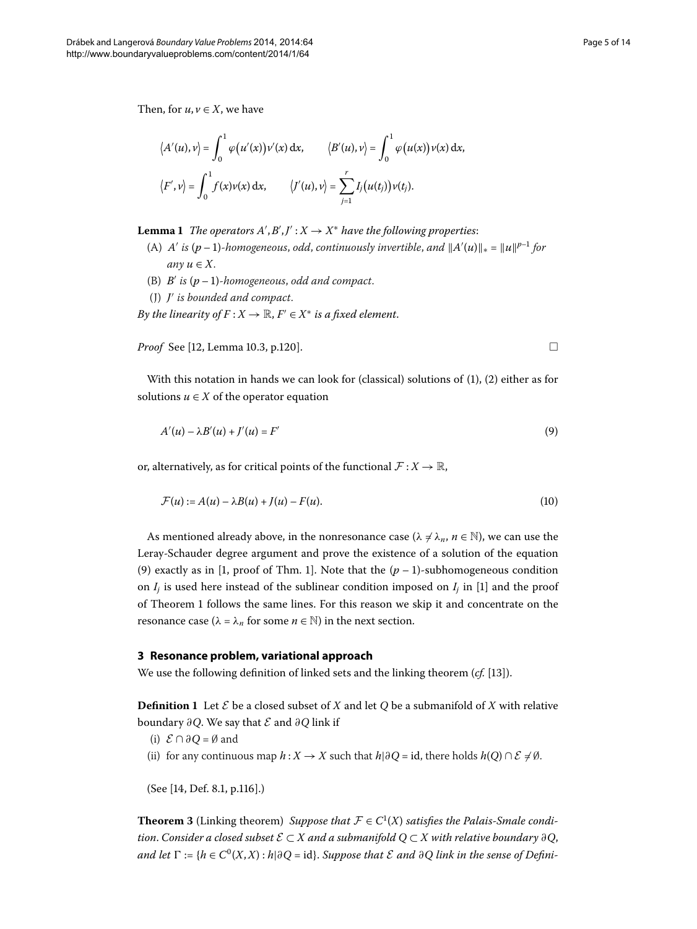<span id="page-4-3"></span>Then, for  $u, v \in X$ , we have

$$
\langle A'(u), v \rangle = \int_0^1 \varphi(u'(x))v'(x) dx, \qquad \langle B'(u), v \rangle = \int_0^1 \varphi(u(x))v(x) dx,
$$
  

$$
\langle F', v \rangle = \int_0^1 f(x)v(x) dx, \qquad \langle J'(u), v \rangle = \sum_{j=1}^r I_j(u(t_j))v(t_j).
$$

**Lemma 1** The operators  $A', B', J' : X \rightarrow X^*$  have the following properties:

- (A) *A'* is  $(p-1)$ -homogeneous, odd, continuously invertible, and  $||A'(u)||_* = ||u||^{p-1}$  for *any*  $u \in X$ .
- (B)  $B'$  is  $(p-1)$ -homogeneous, odd and compact.
- <span id="page-4-0"></span>(J) *J*- *is bounded and compact*.

*By the linearity of F* :  $X \to \mathbb{R}$ ,  $F' \in X^*$  *is a fixed element*.

*Proof* See [12[,](#page-13-11) Lemma 10.3, p.120].

With this notation in hands we can look for [\(](#page-0-1)classical[\)](#page-0-2) solutions of  $(1)$ ,  $(2)$  either as for solutions  $u \in X$  of the operator equation

$$
A'(u) - \lambda B'(u) + J'(u) = F'
$$
\n(9)

or, alternatively, as for critical points of the functional  $\mathcal{F}: X \to \mathbb{R}$ ,

$$
\mathcal{F}(u) := A(u) - \lambda B(u) + J(u) - F(u). \tag{10}
$$

As mentioned already above, in the nonresonance case ( $\lambda \neq \lambda_n$ ,  $n \in \mathbb{N}$ ), we can use the Leray-Schauder degree argument and prove the existence of a solution of the equation (9[\)](#page-4-0) exactly as in [1[,](#page-13-0) proof of Thm. 1]. Note that the  $(p-1)$ -subhomogeneous condition on  $I_i$  is used here instead of the sublinear condition imposed on  $I_i$  in [\[](#page-13-0)1] and the proof of Theorem 1 follows the same lines. For this reason we skip it and concentrate on the resonance case ( $\lambda = \lambda_n$  for some  $n \in \mathbb{N}$ ) in the next section.

#### <span id="page-4-1"></span>**3 Resonance problem, variational approach**

We use the following definition of linked sets and the linking theorem  $(cf. [13])$  $(cf. [13])$  $(cf. [13])$ .

**Definition 1** Let  $\mathcal{E}$  be a closed subset of *X* and let *Q* be a submanifold of *X* with relative boundary *∂Q*. We say that E and *∂Q* link if

<span id="page-4-2"></span>(i) E ∩ *∂Q* = ∅ and

(ii) for any continuous map  $h: X \to X$  such that  $h | \partial Q = id$ , there holds  $h(Q) \cap \mathcal{E} \neq \emptyset$ .

(See [\[](#page-13-13)14, Def. 8.1, p.116].)

**Theorem 3** (Linking theorem) *Suppose that*  $\mathcal{F} \in C^1(X)$  *satisfies the Palais-Smale condition. Consider a closed subset*  $\mathcal{E} \subset X$  *and a submanifold*  $Q \subset X$  *with relative boundary* ∂*Q*, *and let*  $\Gamma$  := { $h \in C^{0}(X,X)$  :  $h | \partial Q = id$ }. *Suppose that E and*  $\partial Q$  *link in the sense of Defini*-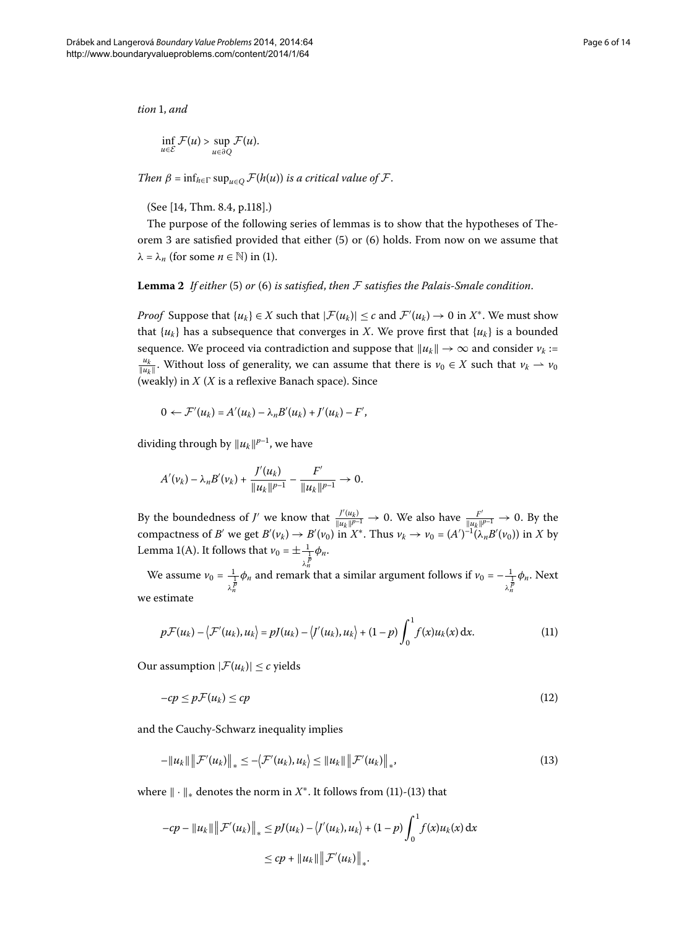$$ 

$$
\inf_{u\in\mathcal{E}}\mathcal{F}(u)>\sup_{u\in\partial Q}\mathcal{F}(u).
$$

*Then*  $\beta$  =  $\inf_{h \in \Gamma} \sup_{u \in O} \mathcal{F}(h(u))$  *is a critical value of*  $\mathcal{F}$ *.* 

(See [\[](#page-13-13)14, Thm. 8.4, p.118].)

The purpose of the following series of lemmas is to show that the hypotheses of Theorem 3 are satisfied provided that either  $(5)$  $(5)$  or  $(6)$  holds. From now on we assume that  $λ = λ<sub>n</sub>$  (for some *n* ∈ ℕ[\)](#page-0-1) in (1).

**Lemma 2** If either [\(](#page-2-1)5) or (6) is satisfied, then F satisfies the Palais-Smale condition.

*Proof* Suppose that  $\{u_k\} \in X$  such that  $|\mathcal{F}(u_k)| \leq c$  and  $\mathcal{F}'(u_k) \to 0$  in  $X^*$ . We must show that  $\{u_k\}$  has a subsequence that converges in *X*. We prove first that  $\{u_k\}$  is a bounded sequence. We proceed via contradiction and suppose that  $||u_k|| \to \infty$  and consider  $v_k$  := *u<sub>k</sub>*<sub>*u*</sub>. Without loss of generality, we can assume that there is  $v_0 \in X$  such that  $v_k \to v_0$ (weakly) in *X* (*X* is a reflexive Banach space). Since

$$
0 \leftarrow \mathcal{F}'(u_k) = A'(u_k) - \lambda_n B'(u_k) + J'(u_k) - F',
$$

dividing through by  $||u_k||^{p-1}$ , we have

<span id="page-5-0"></span>
$$
A'(v_k) - \lambda_n B'(v_k) + \frac{J'(u_k)}{\|u_k\|^{p-1}} - \frac{F'}{\|u_k\|^{p-1}} \to 0.
$$

By the boundedness of *J'* we know that  $\frac{J'(u_k)}{\|u_k\|^{p-1}} \to 0$ . We also have  $\frac{F'}{\|u_k\|^{p-1}} \to 0$ . By the compactness of *B*<sup>*'*</sup> we get  $B'(v_k) \to B'(v_0)$  in  $X^*$ . Thus  $v_k \to v_0 = (A')^{-1}(\lambda_n B'(v_0))$  in *X* by Lemma 1[\(](#page-4-3)A). It follows that  $v_0 = \pm \frac{1}{\lambda_n^{\frac{1}{p}}}$ *φn*.

We assume  $v_0 = \frac{1}{2}$ *λ p n*  $\phi_n$  and remark that a similar argument follows if  $v_0 = -\frac{1}{2}$ *λ p n φn*. Next we estimate

<span id="page-5-1"></span>
$$
p\mathcal{F}(u_k) - \langle \mathcal{F}'(u_k), u_k \rangle = pJ(u_k) - \langle J'(u_k), u_k \rangle + (1-p) \int_0^1 f(x)u_k(x) dx.
$$
 (11)

Our assumption  $|\mathcal{F}(u_k)| \leq c$  yields

$$
-cp \le p\mathcal{F}(u_k) \le cp \tag{12}
$$

and the Cauchy-Schwarz inequality implies

$$
-\|u_k\|\|\mathcal{F}'(u_k)\|_* \leq -\langle \mathcal{F}'(u_k), u_k \rangle \leq \|u_k\|\|\mathcal{F}'(u_k)\|_*\tag{13}
$$

where  $|| \cdot ||_*$  denotes the norm in  $X^*$ . It follows from [\(](#page-5-1)11)-(13) that

$$
-cp - ||u_k|| ||\mathcal{F}'(u_k)||_* \leq pJ(u_k) - \langle J'(u_k), u_k \rangle + (1-p) \int_0^1 f(x)u_k(x) dx
$$
  

$$
\leq cp + ||u_k|| ||\mathcal{F}'(u_k)||_*.
$$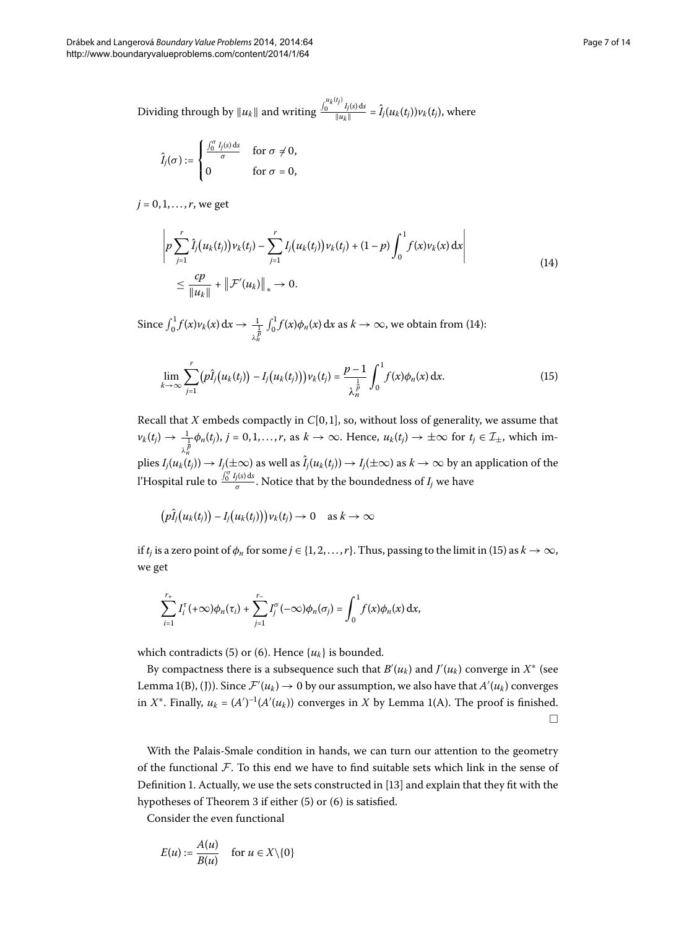Dividing through by  $||u_k||$  and writing  $\frac{\int_0^{u_k(t_j)} I_j(s) ds}{\|u_k\|} = \hat{I}_j(u_k(t_j)) v_k(t_j)$ , where

<span id="page-6-0"></span>
$$
\hat{I}_j(\sigma) := \begin{cases} \frac{\int_0^{\sigma} I_j(s) \, \mathrm{d}s}{\sigma} & \text{for } \sigma \neq 0, \\ 0 & \text{for } \sigma = 0, \end{cases}
$$

 $j = 0, 1, ..., r$ , we get

<span id="page-6-1"></span>
$$
\left| p \sum_{j=1}^{r} \hat{I}_{j}(u_{k}(t_{j})) v_{k}(t_{j}) - \sum_{j=1}^{r} I_{j}(u_{k}(t_{j})) v_{k}(t_{j}) + (1-p) \int_{0}^{1} f(x) v_{k}(x) dx \right|
$$
  

$$
\leq \frac{cp}{\|u_{k}\|} + \left\| \mathcal{F}'(u_{k}) \right\|_{*} \to 0.
$$
 (14)

Since  $\int_0^1 f(x)v_k(x) dx \to \frac{1}{\lambda_n^{\frac{1}{p}}}$  $\int_0^1 f(x) \phi_n(x) dx$  $\int_0^1 f(x) \phi_n(x) dx$  $\int_0^1 f(x) \phi_n(x) dx$  as  $k \to \infty$ , we obtain from (14):

$$
\lim_{k \to \infty} \sum_{j=1}^{r} (p\hat{I}_j(u_k(t_j)) - I_j(u_k(t_j))) \nu_k(t_j) = \frac{p-1}{\lambda_n^{\frac{1}{p}}} \int_0^1 f(x) \phi_n(x) dx.
$$
 (15)

Recall that  $X$  embeds compactly in  $C[0, 1]$ , so, without loss of generality, we assume that  $\nu_k(t_j) \to \frac{1}{\lambda_n^{\overline{p}}} \phi_n(t_j)$ ,  $j = 0, 1, \ldots, r$ , as  $k \to \infty$ . Hence,  $u_k(t_j) \to \pm \infty$  for  $t_j \in \mathcal{I}_{\pm}$ , which im $p$ lies  $I_j(u_k(t_j)) \to I_j(\pm\infty)$  as well as  $\hat I_j(u_k(t_j)) \to I_j(\pm\infty)$  as  $k \to \infty$  by an application of the l'Hospital rule to  $\frac{\int_0^{\sigma} I_j(s) ds}{\sigma}$ . Notice that by the boundedness of  $I_j$  we have

$$
(p\hat{I}_j(u_k(t_j))-I_j(u_k(t_j)))v_k(t_j)\to 0 \text{ as } k\to\infty
$$

if *t<sub>j</sub>* is a zero point of  $\phi_n$  for some  $j \in \{1, 2, ..., r\}$ . Thus, passing to the limit in [\(](#page-6-1)15) as  $k \to \infty$ , we get

$$
\sum_{i=1}^{r_+} I_i^{\tau}(+\infty)\phi_n(\tau_i) + \sum_{j=1}^{r_-} I_j^{\sigma}(-\infty)\phi_n(\sigma_j) = \int_0^1 f(x)\phi_n(x) dx,
$$

which contradicts (5[\)](#page-2-1) or (6). Hence  $\{u_k\}$  is bounded.

By compactness there is a subsequence such that  $B'(u_k)$  and  $J'(u_k)$  converge in  $X^*$  (see Lemma 1(B), (J)). Since  $\mathcal{F}'(u_k) \to 0$  by our assumption, we also have that  $A'(u_k)$  converges in *X*<sup>\*</sup>. Finally,  $u_k = (A')^{-1}(A'(u_k))$  $u_k = (A')^{-1}(A'(u_k))$  $u_k = (A')^{-1}(A'(u_k))$  converges in *X* by Lemma 1(A). The proof is finished.  $\Box$ 

With the Palais-Smale condition in hands, we can turn our attention to the geometry of the functional  $\mathcal F$ . To this end we have to find suitable sets which link in the sense of Definition 1. Actually, we use the sets constructed in [13[\]](#page-13-12) and explain that they fit with the hypotheses of Theorem 3 if either  $(5)$  $(5)$  or  $(6)$  is satisfied.

Consider the even functional

$$
E(u) := \frac{A(u)}{B(u)} \quad \text{for } u \in X \setminus \{0\}
$$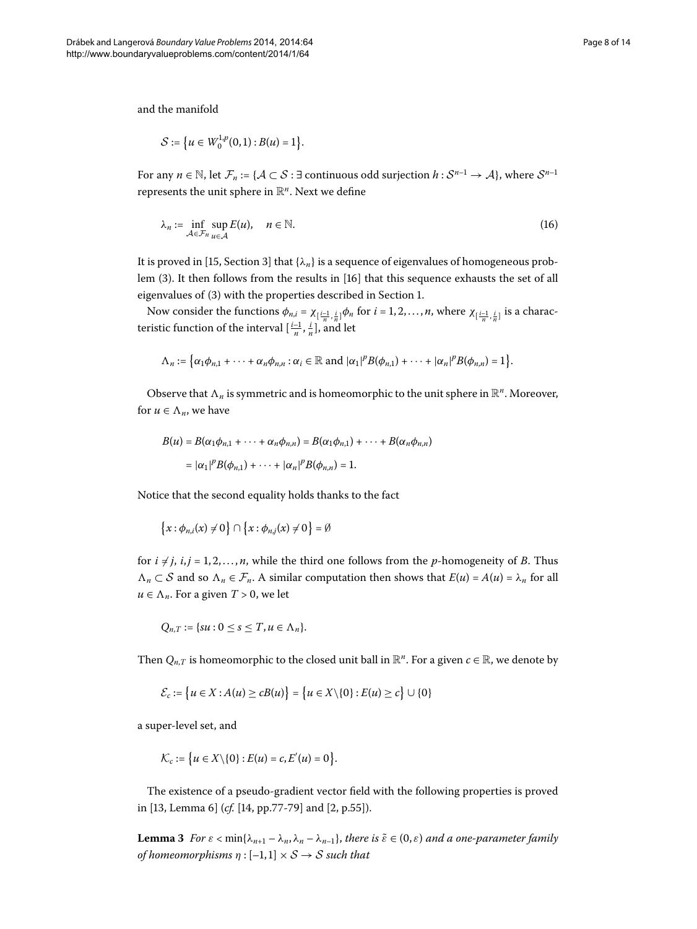and the manifold

$$
S := \left\{ u \in W_0^{1,p}(0,1) : B(u) = 1 \right\}.
$$

For any  $n \in \mathbb{N}$ , let  $\mathcal{F}_n := \{ \mathcal{A} \subset \mathcal{S} : \exists$  continuous odd surjection  $h : \mathcal{S}^{n-1} \to \mathcal{A} \}$ , where  $\mathcal{S}^{n-1}$ represents the unit sphere in  $\mathbb{R}^n$ . Next we define

$$
\lambda_n := \inf_{\mathcal{A} \in \mathcal{F}_n} \sup_{u \in \mathcal{A}} E(u), \quad n \in \mathbb{N}.
$$
 (16)

It is proved in [\[](#page-13-14)15, Section 3] that  $\{\lambda_n\}$  is a sequence of eigenvalues of homogeneous prob-lem (3[\)](#page-1-1). It then follows from the results in [16] that this sequence exhausts the set of all eigenvalues of (3[\)](#page-1-1) with the properties described in Section 1[.](#page-0-3)

Now consider the functions  $\phi_{n,i} = \chi_{[\frac{i-1}{n}, \frac{i}{n}]} \phi_n$  for  $i = 1, 2, ..., n$ , where  $\chi_{[\frac{i-1}{n}, \frac{i}{n}]}$  is a characteristic function of the interval  $\left[\frac{i-1}{n}, \frac{i}{n}\right]$ , and let

$$
\Lambda_n := \big\{ \alpha_1 \phi_{n,1} + \cdots + \alpha_n \phi_{n,n} : \alpha_i \in \mathbb{R} \text{ and } |\alpha_1|^p B(\phi_{n,1}) + \cdots + |\alpha_n|^p B(\phi_{n,n}) = 1 \big\}.
$$

Observe that  $\Lambda_n$  is symmetric and is homeomorphic to the unit sphere in  $\mathbb{R}^n$ . Moreover, for  $u \in \Lambda_n$ , we have

$$
B(u) = B(\alpha_1 \phi_{n,1} + \dots + \alpha_n \phi_{n,n}) = B(\alpha_1 \phi_{n,1}) + \dots + B(\alpha_n \phi_{n,n})
$$
  
=  $|\alpha_1|^p B(\phi_{n,1}) + \dots + |\alpha_n|^p B(\phi_{n,n}) = 1.$ 

Notice that the second equality holds thanks to the fact

$$
\left\{x:\phi_{n,i}(x)\neq 0\right\}\cap\left\{x:\phi_{n,j}(x)\neq 0\right\}=\emptyset
$$

for  $i \neq j$ ,  $i, j = 1, 2, \ldots, n$ , while the third one follows from the *p*-homogeneity of *B*. Thus *n*<sub>*n*</sub> ⊂ S and so  $\Lambda_n$  ∈  $\mathcal{F}_n$ . A similar computation then shows that  $E(u) = A(u) = \lambda_n$  for all  $u \in \Lambda_n$ . For a given  $T > 0$ , we let

$$
Q_{n,T}:=\{su:0\leq s\leq T,u\in\Lambda_n\}.
$$

Then  $Q_{n,T}$  is homeomorphic to the closed unit ball in  $\mathbb{R}^n$ . For a given  $c \in \mathbb{R}$ , we denote by

$$
\mathcal{E}_c := \big\{ u \in X : A(u) \ge cB(u) \big\} = \big\{ u \in X \setminus \{0\} : E(u) \ge c \big\} \cup \{0\}
$$

<span id="page-7-0"></span>a super-level set, and

$$
\mathcal{K}_c:=\big\{u\in X\backslash\{0\}:E(u)=c,E'(u)=0\big\}.
$$

The existence of a pseudo-gradient vector field with the following properties is proved in [\[](#page-13-1)13, Lemma 6] (*cf.* [14, pp.77-79] and [2, p.55]).

**Lemma 3** For  $\varepsilon$  < min{ $\lambda_{n+1} - \lambda_n$ ,  $\lambda_n - \lambda_{n-1}$ }, there is  $\tilde{\varepsilon} \in (0,\varepsilon)$  and a one-parameter family *of homeomorphisms*  $\eta$  :  $[-1,1] \times S \rightarrow S$  *such that*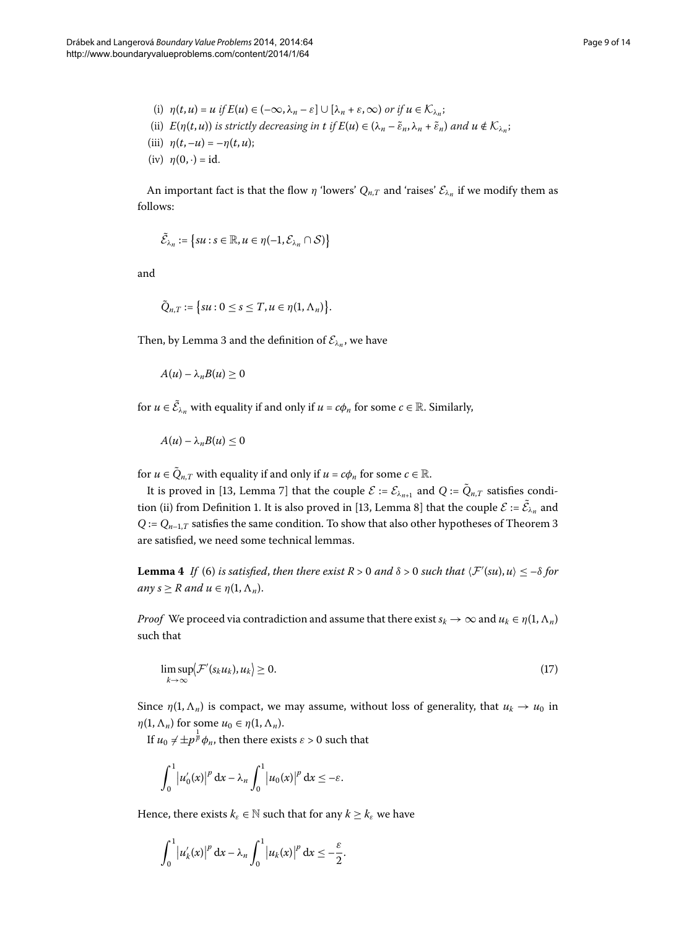- (i)  $\eta(t, u) = u$  if  $E(u) \in (-\infty, \lambda_n \varepsilon] \cup [\lambda_n + \varepsilon, \infty)$  or if  $u \in \mathcal{K}_{\lambda_n}$ ; (ii)  $E(\eta(t, u))$  is strictly decreasing in t if  $E(u) \in (\lambda_n - \tilde{\varepsilon}_n, \lambda_n + \tilde{\varepsilon}_n)$  and  $u \notin \mathcal{K}_{\lambda_n}$ ; (iii)  $\eta(t, -u) = -\eta(t, u);$
- (iv)  $\eta(0, \cdot) = id$ .

An important fact is that the flow  $\eta$  'lowers'  $Q_{n,T}$  and 'raises'  $\mathcal{E}_{\lambda_n}$  if we modify them as follows:

$$
\widetilde{\mathcal{E}}_{\lambda_n} := \big\{ su : s \in \mathbb{R}, u \in \eta(-1, \mathcal{E}_{\lambda_n} \cap \mathcal{S}) \big\}
$$

and

$$
\tilde{Q}_{n,T}:=\big\{su:0\leq s\leq T,u\in\eta(1,\Lambda_n)\big\}.
$$

Then, by Lemma 3 and the definition of  $\mathcal{E}_{\lambda_n}$ , we have

$$
A(u) - \lambda_n B(u) \geq 0
$$

for  $u \in \tilde{C}_{\lambda_n}$  with equality if and only if  $u = c\phi_n$  for some  $c \in \mathbb{R}$ . Similarly,

$$
A(u)-\lambda_nB(u)\leq 0
$$

<span id="page-8-1"></span>for  $u \in \tilde{Q}_{n,T}$  with equality if and only if  $u = c\phi_n$  for some  $c \in \mathbb{R}$ .

It is proved in [\[](#page-13-12)13, Lemma 7] that the couple  $\mathcal{E} := \mathcal{E}_{\lambda_{n+1}}$  and  $Q := \tilde{Q}_{n,T}$  satisfies condi-tion (ii) from Definition 1. It is also proved in [13[,](#page-13-12) Lemma 8] that the couple  $\mathcal{E} := \mathcal{E}_{\lambda_n}$  and  $Q := Q_{n-1,T}$  satisfies the same condition. To show that also other hypotheses of Theorem 3 are satisfied, we need some technical lemmas.

**Lemma 4** If (6) is satisfied, then there exist R > 0 and  $\delta$  > 0 such that  $\langle \mathcal{F}'(su), u \rangle \le -\delta$  for  $any s \geq R$  *and*  $u \in \eta(1, \Lambda_n)$ .

*Proof* We proceed via contradiction and assume that there exist  $s_k \to \infty$  and  $u_k \in \eta(1, \Lambda_n)$ such that

<span id="page-8-0"></span>
$$
\limsup_{k \to \infty} \langle \mathcal{F}'(s_k u_k), u_k \rangle \ge 0. \tag{17}
$$

Since  $\eta(1,\Lambda_n)$  is compact, we may assume, without loss of generality, that  $u_k \to u_0$  in  $\eta(1, \Lambda_n)$  for some  $u_0 \in \eta(1, \Lambda_n)$ .

If  $u_0 \neq \pm p^{\frac{1}{p}} \phi_n$ , then there exists  $\varepsilon > 0$  such that

$$
\int_0^1 |u'_0(x)|^p dx - \lambda_n \int_0^1 |u_0(x)|^p dx \leq -\varepsilon.
$$

Hence, there exists  $k_{\varepsilon} \in \mathbb{N}$  such that for any  $k \geq k_{\varepsilon}$  we have

$$
\int_0^1 \left| u'_k(x) \right|^p \mathrm{d}x - \lambda_n \int_0^1 \left| u_k(x) \right|^p \mathrm{d}x \leq -\frac{\varepsilon}{2}.
$$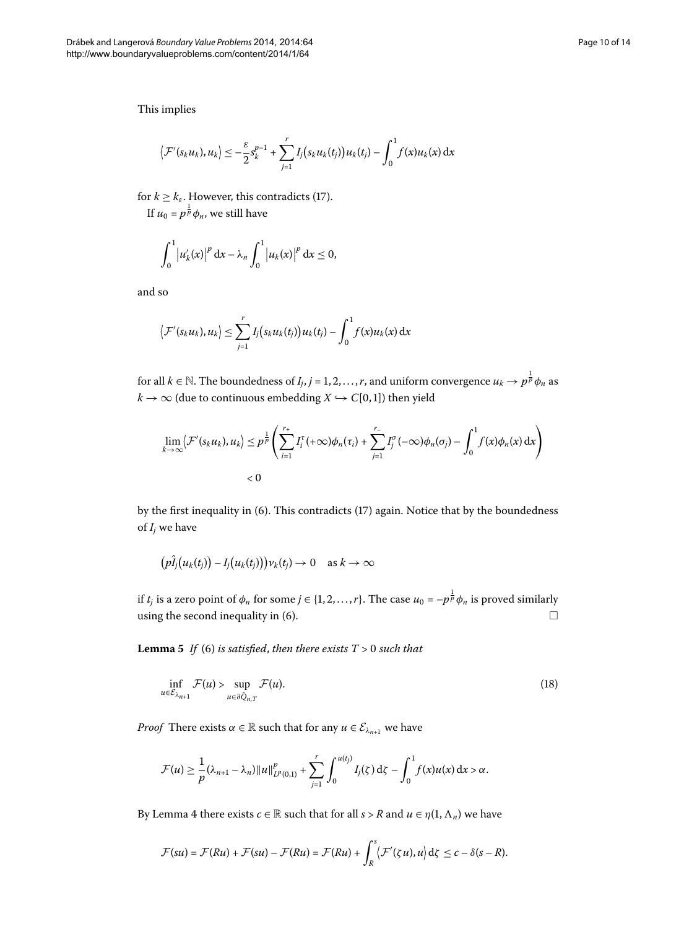$$
\left\langle \mathcal{F}'(s_ku_k),u_k\right\rangle\leq -\frac{\varepsilon}{2}s_k^{p-1}+\sum_{j=1}^rI_j\big(s_ku_k(t_j)\big)u_k(t_j)-\int_0^1f(x)u_k(x)\,dx
$$

for  $k \geq k_{\varepsilon}$ . However, this contradicts [\(](#page-8-0)17).

If  $u_0 = p^{\frac{1}{p}} \phi_n$ , we still have

$$
\int_0^1 |u_k'(x)|^p dx - \lambda_n \int_0^1 |u_k(x)|^p dx \le 0,
$$

and so

$$
\left\langle \mathcal{F}'(s_ku_k),u_k\right\rangle \leq \sum_{j=1}^r I_j(s_ku_k(t_j))u_k(t_j) - \int_0^1 f(x)u_k(x) dx
$$

for all  $k \in \mathbb{N}$ . The boundedness of  $I_j, j = 1, 2, \ldots, r$ , and uniform convergence  $u_k \to p^{\frac{1}{p}}\phi_n$  as  $k \to \infty$  (due to continuous embedding *X*  $\hookrightarrow$  *C*[0,1]) then yield

$$
\lim_{k \to \infty} \langle \mathcal{F}'(s_k u_k), u_k \rangle \leq p^{\frac{1}{p}} \left( \sum_{i=1}^{r_+} I_i^{\tau}(+\infty) \phi_n(\tau_i) + \sum_{j=1}^{r_-} I_j^{\sigma}(-\infty) \phi_n(\sigma_j) - \int_0^1 f(x) \phi_n(x) dx \right) < 0
$$

by the first inequality in [\(](#page-8-0)6). This contradicts (17) again. Notice that by the boundedness of *Ij* we have

<span id="page-9-0"></span>
$$
(p\hat{I}_j(u_k(t_j))-I_j(u_k(t_j)))v_k(t_j)\to 0 \text{ as } k\to\infty
$$

if *t<sub>j</sub>* is a zero point of  $\phi_n$  for some  $j \in \{1, 2, ..., r\}$ . The case  $u_0 = -p^{\frac{1}{p}}\phi_n$  is proved similarly using the second inequality in  $(6)$ .  $\Box$ 

**Lemma 5** *If* (6) *is satisfied, then there exists*  $T > 0$  *such that* 

$$
\inf_{u \in \mathcal{E}_{\lambda_{n+1}}} \mathcal{F}(u) > \sup_{u \in \partial \tilde{Q}_{n,T}} \mathcal{F}(u). \tag{18}
$$

*Proof* There exists  $\alpha \in \mathbb{R}$  such that for any  $u \in \mathcal{E}_{\lambda_{n+1}}$  we have

$$
\mathcal{F}(u) \geq \frac{1}{p}(\lambda_{n+1} - \lambda_n) \|u\|_{L^p(0,1)}^p + \sum_{j=1}^r \int_0^{u(t_j)} I_j(\zeta) d\zeta - \int_0^1 f(x)u(x) dx > \alpha.
$$

By Lemma 4 there exists  $c \in \mathbb{R}$  such that for all  $s > R$  and  $u \in \eta(1, \Lambda_n)$  we have

$$
\mathcal{F}(su) = \mathcal{F}(Ru) + \mathcal{F}(su) - \mathcal{F}(Ru) = \mathcal{F}(Ru) + \int_R^s \langle \mathcal{F}'(\zeta u), u \rangle d\zeta \leq c - \delta(s - R).
$$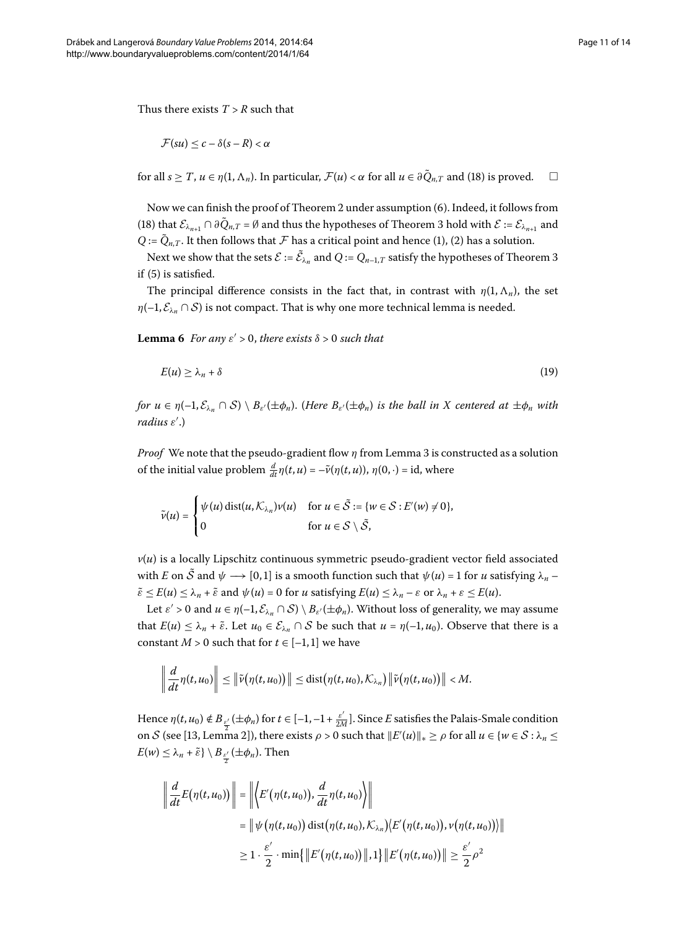Thus there exists  $T > R$  such that

$$
\mathcal{F}(su) \leq c - \delta(s - R) < \alpha
$$

for all  $s \geq T$ ,  $u \in \eta(1, \Lambda_n)$ . In particular,  $\mathcal{F}(u) < \alpha$  for all  $u \in \partial \tilde{Q}_{n,T}$  and (18) is proved.  $\Box$ 

<span id="page-10-0"></span>Now we can finish the proof of Theorem 2 under assumption (6). Indeed, it follows from (18[\)](#page-9-0) that  $\mathcal{E}_{\lambda_{n+1}} \cap \partial \tilde{Q}_{n,T} = \emptyset$  and thus the hypotheses of Theorem 3 hold with  $\mathcal{E} := \mathcal{E}_{\lambda_{n+1}}$  and *Q* :=  $\tilde{Q}_{n,T}$ . It then follows that  $\mathcal F$  has a critical point and hence [\(](#page-0-2)1), (2) has a solution.

Next we show that the sets  $\mathcal{E} := \mathcal{E}_{\lambda_n}$  and  $Q := Q_{n-1,T}$  satisfy the hypotheses of Theorem 3 if  $(5)$  $(5)$  is satisfied.

The principal difference consists in the fact that, in contrast with  $\eta(1,\Lambda_n)$ , the set  $\eta$ (-1,  $\mathcal{E}_{\lambda_n} \cap \mathcal{S}$ ) is not compact. That is why one more technical lemma is needed.

**Lemma 6** For any  $\varepsilon' > 0$ , there exists  $\delta > 0$  such that

$$
E(u) \ge \lambda_n + \delta \tag{19}
$$

 $f$ or  $u \in \eta(-1, \mathcal{E}_{\lambda_n} \cap \mathcal{S}) \setminus B_{\varepsilon'}(\pm \phi_n)$ . (Here  $B_{\varepsilon'}(\pm \phi_n)$  is the ball in X centered at  $\pm \phi_n$  with radius ε'.)

*Proof* We note that the pseudo-gradient flow *η* from Lemma 3 is constructed as a solution of the initial value problem  $\frac{d}{dt}\eta(t, u) = -\tilde{\nu}(\eta(t, u)), \eta(0, \cdot) = \text{id}, \text{ where}$ 

$$
\tilde{\nu}(u) = \begin{cases} \psi(u) \operatorname{dist}(u, \mathcal{K}_{\lambda_n}) \nu(u) & \text{for } u \in \tilde{\mathcal{S}} := \{w \in \mathcal{S} : E'(w) \neq 0\}, \\ 0 & \text{for } u \in \mathcal{S} \setminus \tilde{\mathcal{S}}, \end{cases}
$$

 $v(u)$  is a locally Lipschitz continuous symmetric pseudo-gradient vector field associated with *E* on  $\tilde{S}$  and  $\psi \rightarrow [0, 1]$  is a smooth function such that  $\psi(u) = 1$  for *u* satisfying  $\lambda_n$  $\tilde{\varepsilon} \le E(u) \le \lambda_n + \tilde{\varepsilon}$  and  $\psi(u) = 0$  for *u* satisfying  $E(u) \le \lambda_n - \varepsilon$  or  $\lambda_n + \varepsilon \le E(u)$ .

Let  $\varepsilon' > 0$  and  $u \in \eta(-1, \mathcal{E}_{\lambda_n} \cap \mathcal{S}) \setminus B_{\varepsilon'}(\pm \phi_n)$ . Without loss of generality, we may assume that  $E(u) \leq \lambda_n + \tilde{\varepsilon}$ . Let  $u_0 \in \mathcal{E}_{\lambda_n} \cap \mathcal{S}$  be such that  $u = \eta(-1, u_0)$ . Observe that there is a constant *M* > 0 such that for  $t \in [-1,1]$  we have

$$
\left\|\frac{d}{dt}\eta(t,u_0)\right\|\leq \left\|\tilde{\nu}(\eta(t,u_0))\right\|\leq \mathrm{dist}(\eta(t,u_0),\mathcal{K}_{\lambda_n})\left\|\tilde{\nu}(\eta(t,u_0))\right\|
$$

Hence *η*(*t*, *u*<sub>0</sub>) ∉ *B*<sub>ε'</sub>(±φ<sub>*n*</sub>) for *t* ∈ [−1,−1 +  $\frac{\varepsilon'}{2M}$ ]. Since *E* satisfies the Palais-Smale condition on S (see [\[](#page-13-12)13, Lemma 2]), there exists  $\rho > 0$  such that  $||E'(u)||_* \ge \rho$  for all  $u \in \{w \in S : \lambda_n \le$  $E(w) \leq \lambda_n + \tilde{\varepsilon} \} \setminus B_{\frac{\varepsilon'}{2}}(\pm \phi_n)$ . Then

$$
\left\| \frac{d}{dt} E(\eta(t, u_0)) \right\| = \left\| \left\langle E'(\eta(t, u_0)), \frac{d}{dt} \eta(t, u_0) \right\rangle \right\|
$$
  
\n
$$
= \left\| \psi(\eta(t, u_0)) \operatorname{dist}(\eta(t, u_0), \mathcal{K}_{\lambda_n}) \left\langle E'(\eta(t, u_0)), \psi(\eta(t, u_0)) \right\rangle \right\|
$$
  
\n
$$
\geq 1 \cdot \frac{\varepsilon'}{2} \cdot \min \{ \left\| E'(\eta(t, u_0)) \right\|, 1 \} \left\| E'(\eta(t, u_0)) \right\| \geq \frac{\varepsilon'}{2} \rho^2
$$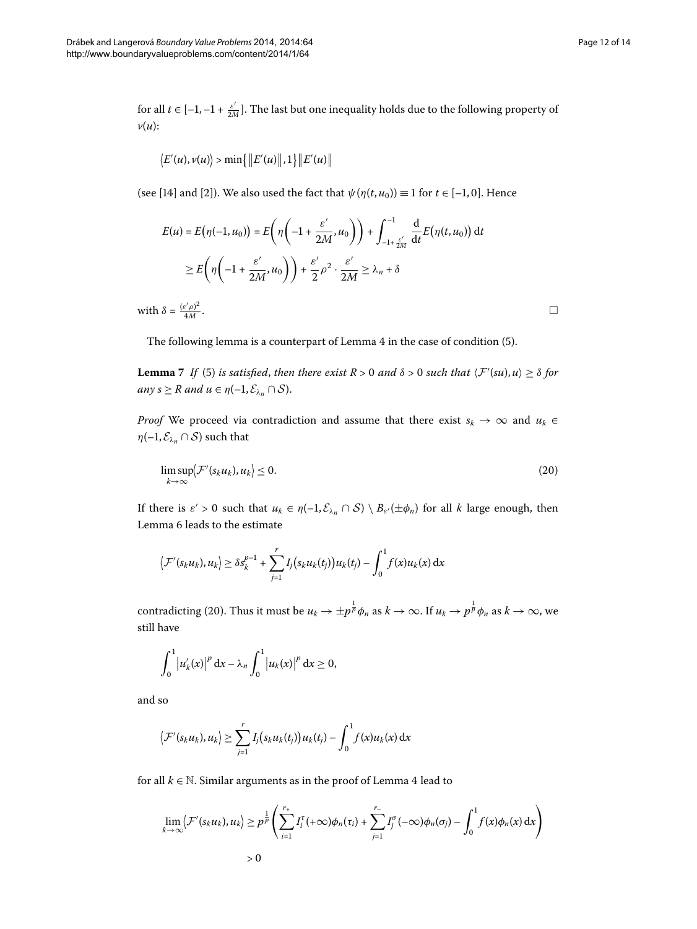for all  $t \in [-1, -1 + \frac{\varepsilon'}{2M}]$ . The last but one inequality holds due to the following property of *v*(*u*):

$$
\langle E'(u), v(u) \rangle > \min \{ ||E'(u)||, 1 \} ||E'(u)||
$$

(see [\[](#page-13-1)14] and [2]). We also used the fact that  $\psi(\eta(t, u_0)) \equiv 1$  for  $t \in [-1, 0]$ . Hence

$$
E(u) = E(\eta(-1, u_0)) = E\left(\eta\left(-1 + \frac{\varepsilon'}{2M}, u_0\right)\right) + \int_{-1 + \frac{\varepsilon'}{2M}}^{-1} \frac{d}{dt} E(\eta(t, u_0)) dt
$$
  
\n
$$
\geq E\left(\eta\left(-1 + \frac{\varepsilon'}{2M}, u_0\right)\right) + \frac{\varepsilon'}{2}\rho^2 \cdot \frac{\varepsilon'}{2M} \geq \lambda_n + \delta
$$

<span id="page-11-1"></span>with  $\delta = \frac{(\varepsilon' \rho)^2}{4M}$  $\frac{d^2 p}{4M}$ .

The following lemma is a counterpart of Lemma 4 in the case of condition (5).

**Lemma** 7 If (5) is satisfied, then there exist  $R > 0$  and  $\delta > 0$  such that  $\langle F'(su), u \rangle \ge \delta$  for *any*  $s \geq R$  *and*  $u \in \eta(-1, \mathcal{E}_{\lambda_n} \cap \mathcal{S})$ .

*Proof* We proceed via contradiction and assume that there exist  $s_k \to \infty$  and  $u_k \in$  $\eta(-1, \mathcal{E}_{\lambda_n} \cap \mathcal{S})$  such that

$$
\limsup_{k \to \infty} \langle \mathcal{F}'(s_k u_k), u_k \rangle \le 0. \tag{20}
$$

If there is  $\varepsilon' > 0$  such that  $u_k \in \eta(-1, \mathcal{E}_{\lambda_n} \cap \mathcal{S}) \setminus B_{\varepsilon'}(\pm \phi_n)$  for all *k* large enough, then Lemma 6 leads to the estimate

$$
\left\langle \mathcal{F}'(s_ku_k),u_k\right\rangle \geq \delta s_k^{p-1} + \sum_{j=1}^r I_j(s_ku_k(t_j))u_k(t_j) - \int_0^1 f(x)u_k(x) dx
$$

contradicting (20). Thus it must be  $u_k \to \pm p^{\frac{1}{p}}\phi_n$  as  $k \to \infty$ . If  $u_k \to p^{\frac{1}{p}}\phi_n$  as  $k \to \infty$ , we still have

$$
\int_0^1 |u_k'(x)|^p dx - \lambda_n \int_0^1 |u_k(x)|^p dx \ge 0,
$$

and so

$$
\langle \mathcal{F}'(s_ku_k), u_k \rangle \geq \sum_{j=1}^r I_j(s_ku_k(t_j))u_k(t_j) - \int_0^1 f(x)u_k(x) dx
$$

for all  $k \in \mathbb{N}$ . Similar arguments as in the proof of Lemma 4 lead to

$$
\lim_{k \to \infty} \langle \mathcal{F}'(s_k u_k), u_k \rangle \ge p^{\frac{1}{p}} \left( \sum_{i=1}^{r_+} I_i^{\tau}(+\infty) \phi_n(\tau_i) + \sum_{j=1}^{r_-} I_j^{\sigma}(-\infty) \phi_n(\sigma_j) - \int_0^1 f(x) \phi_n(x) dx \right)
$$
  
> 0

<span id="page-11-0"></span> $\Box$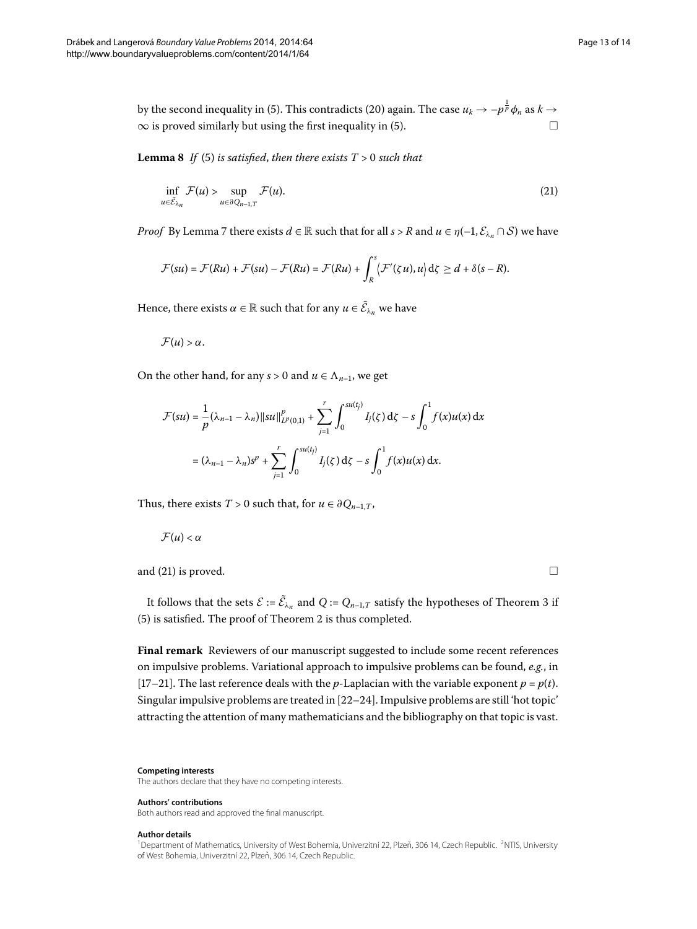by the second inequality in [\(](#page-2-1)5). This contradicts (20) again. The case  $u_k\to -p^{\frac{1}{p}}\phi_n$  as  $k\to$  $\infty$  is proved similarly but using the first inequality in (5[\)](#page-2-1).

**Lemma 8** If [\(](#page-2-1)5) is satisfied, then there exists  $T > 0$  such that

<span id="page-12-2"></span>
$$
\inf_{u \in \tilde{\mathcal{E}}_{\lambda_n}} \mathcal{F}(u) > \sup_{u \in \partial Q_{n-1,T}} \mathcal{F}(u). \tag{21}
$$

*Proof* By Lemma 7 there exists  $d \in \mathbb{R}$  such that for all  $s > R$  and  $u \in \eta(-1, \mathcal{E}_{\lambda_n} \cap \mathcal{S})$  we have

$$
\mathcal{F}(su) = \mathcal{F}(Ru) + \mathcal{F}(su) - \mathcal{F}(Ru) = \mathcal{F}(Ru) + \int_R^s \langle \mathcal{F}'(\zeta u), u \rangle d\zeta \geq d + \delta(s - R).
$$

Hence, there exists  $\alpha \in \mathbb{R}$  such that for any  $u \in \tilde{\mathcal{E}}_{\lambda_n}$  we have

 $\mathcal{F}(u) > \alpha$ .

On the other hand, for any  $s > 0$  and  $u \in \Lambda_{n-1}$ , we get

$$
\mathcal{F}(su) = \frac{1}{p} (\lambda_{n-1} - \lambda_n) ||su||_{L^p(0,1)}^p + \sum_{j=1}^r \int_0^{su(t_j)} I_j(\zeta) d\zeta - s \int_0^1 f(x) u(x) dx
$$
  
=  $(\lambda_{n-1} - \lambda_n) s^p + \sum_{j=1}^r \int_0^{su(t_j)} I_j(\zeta) d\zeta - s \int_0^1 f(x) u(x) dx.$ 

Thus, there exists *T* > 0 such that, for  $u \in \partial Q_{n-1,T}$ ,

 $\mathcal{F}(u) < \alpha$ 

and [\(](#page-12-2)21) is proved.  $\Box$ 

It follows that the sets  $\mathcal{E} := \mathcal{E}_{\lambda_n}$  and  $Q := Q_{n-1,T}$  satisfy the hypotheses of Theorem 3 if  $(5)$  $(5)$  is satisfied. The proof of Theorem 2 is thus completed.

**Final remark** Reviewers of our manuscript suggested to include some recent references on impulsive problems. Variational approach to impulsive problems can be found, *e.g.*, in [17[–](#page-13-16)21[\]](#page-13-17). The last reference deals with the *p*-Laplacian with the variable exponent  $p = p(t)$ . Singular impulsive problems are treated in  $[22-24]$  $[22-24]$ . Impulsive problems are still 'hot topic' attracting the attention of many mathematicians and the bibliography on that topic is vast.

#### <span id="page-12-1"></span><span id="page-12-0"></span>**Competing interests**

The authors declare that they have no competing interests.

### **Authors' contributions**

Both authors read and approved the final manuscript.

#### **Author details**

<sup>1</sup> Department of Mathematics, University of West Bohemia, Univerzitní 22, Plzeň, 306 14, Czech Republic. <sup>2</sup>NTIS, University of West Bohemia, Univerzitní 22, Plzeň, 306 14, Czech Republic.